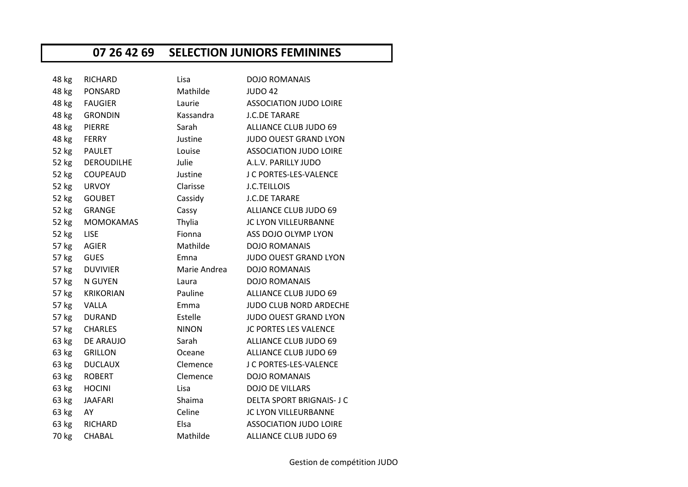## **07 26 42 69 SELECTION JUNIORS FEMININES**

| 48 kg | <b>RICHARD</b>    | Lisa         | <b>DOJO ROMANAIS</b>             |
|-------|-------------------|--------------|----------------------------------|
| 48 kg | PONSARD           | Mathilde     | <b>JUDO 42</b>                   |
| 48 kg | <b>FAUGIER</b>    | Laurie       | <b>ASSOCIATION JUDO LOIRE</b>    |
| 48 kg | <b>GRONDIN</b>    | Kassandra    | <b>J.C.DE TARARE</b>             |
| 48 kg | <b>PIERRE</b>     | Sarah        | ALLIANCE CLUB JUDO 69            |
| 48 kg | <b>FERRY</b>      | Justine      | <b>JUDO OUEST GRAND LYON</b>     |
| 52 kg | <b>PAULET</b>     | Louise       | <b>ASSOCIATION JUDO LOIRE</b>    |
| 52 kg | <b>DEROUDILHE</b> | Julie        | A.L.V. PARILLY JUDO              |
| 52 kg | COUPEAUD          | Justine      | J C PORTES-LES-VALENCE           |
| 52 kg | <b>URVOY</b>      | Clarisse     | <b>J.C.TEILLOIS</b>              |
| 52 kg | <b>GOUBET</b>     | Cassidy      | <b>J.C.DE TARARE</b>             |
| 52 kg | GRANGE            | Cassy        | ALLIANCE CLUB JUDO 69            |
| 52 kg | <b>MOMOKAMAS</b>  | Thylia       | JC LYON VILLEURBANNE             |
| 52 kg | <b>LISE</b>       | Fionna       | ASS DOJO OLYMP LYON              |
| 57 kg | AGIER             | Mathilde     | <b>DOJO ROMANAIS</b>             |
| 57 kg | <b>GUES</b>       | Emna         | JUDO OUEST GRAND LYON            |
| 57 kg | DUVIVIER          | Marie Andrea | <b>DOJO ROMANAIS</b>             |
| 57 kg | N GUYEN           | Laura        | <b>DOJO ROMANAIS</b>             |
| 57 kg | <b>KRIKORIAN</b>  | Pauline      | ALLIANCE CLUB JUDO 69            |
| 57 kg | VALLA             | Emma         | <b>JUDO CLUB NORD ARDECHE</b>    |
| 57 kg | DURAND            | Estelle      | JUDO OUEST GRAND LYON            |
| 57 kg | <b>CHARLES</b>    | <b>NINON</b> | JC PORTES LES VALENCE            |
| 63 kg | DE ARAUJO         | Sarah        | ALLIANCE CLUB JUDO 69            |
| 63 kg | <b>GRILLON</b>    | Oceane       | ALLIANCE CLUB JUDO 69            |
| 63 kg | <b>DUCLAUX</b>    | Clemence     | J C PORTES-LES-VALENCE           |
| 63 kg | <b>ROBERT</b>     | Clemence     | <b>DOJO ROMANAIS</b>             |
| 63 kg | <b>HOCINI</b>     | Lisa         | <b>DOJO DE VILLARS</b>           |
| 63 kg | <b>JAAFARI</b>    | Shaima       | <b>DELTA SPORT BRIGNAIS- J C</b> |
| 63 kg | AY                | Celine       | JC LYON VILLEURBANNE             |
| 63 kg | <b>RICHARD</b>    | Elsa         | <b>ASSOCIATION JUDO LOIRE</b>    |
| 70 kg | CHABAL            | Mathilde     | ALLIANCE CLUB JUDO 69            |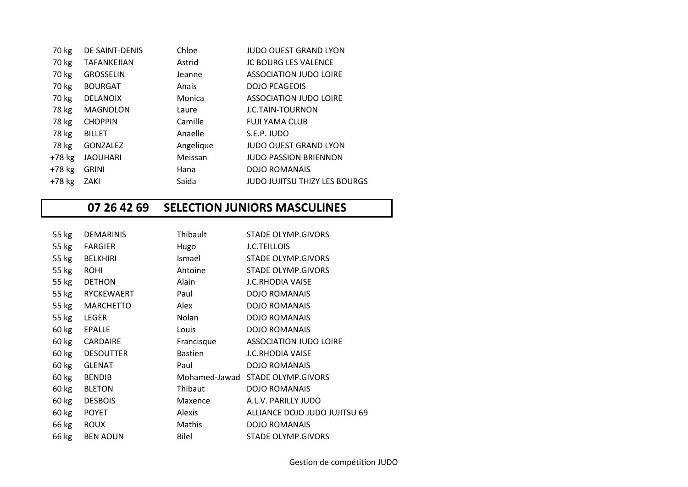| 70 kg    | DE SAINT-DENIS     | Chloe     | JUDO OUEST GRAND LYON         |
|----------|--------------------|-----------|-------------------------------|
| 70 kg    | <b>TAFANKEJIAN</b> | Astrid    | <b>JC BOURG LES VALENCE</b>   |
| 70 kg    | <b>GROSSELIN</b>   | Jeanne    | <b>ASSOCIATION JUDO LOIRE</b> |
| 70 kg    | <b>BOURGAT</b>     | Anais     | <b>DOJO PEAGEOIS</b>          |
| 70 kg    | <b>DELANOIX</b>    | Monica    | ASSOCIATION JUDO LOIRE        |
| 78 kg    | <b>MAGNOLON</b>    | Laure     | J.C.TAIN-TOURNON              |
| 78 kg    | <b>CHOPPIN</b>     | Camille   | <b>FUJI YAMA CLUB</b>         |
| 78 kg    | <b>BILLET</b>      | Anaelle   | S.E.P. JUDO                   |
| 78 kg    | <b>GONZALEZ</b>    | Angelique | <b>JUDO OUEST GRAND LYON</b>  |
| $+78$ kg | <b>JAOUHARI</b>    | Meissan   | JUDO PASSION BRIENNON         |
| $+78$ kg | <b>GRINI</b>       | Hana      | <b>DOJO ROMANAIS</b>          |
| $+78$ kg | ZAKI               | Saida     | JUDO JUJITSU THIZY LES BOURGS |
|          |                    |           |                               |

## **07 26 42 69 SELECTION JUNIORS MASCULINES**

| 55 kg | <b>DEMARINIS</b> | Thibault       | STADE OLYMP.GIVORS               |
|-------|------------------|----------------|----------------------------------|
| 55 kg | <b>FARGIER</b>   | Hugo           | <b>J.C.TEILLOIS</b>              |
| 55 kg | <b>BELKHIRI</b>  | Ismael         | STADE OLYMP.GIVORS               |
| 55 kg | <b>ROHI</b>      | Antoine        | <b>STADE OLYMP.GIVORS</b>        |
| 55 kg | <b>DETHON</b>    | Alain          | <b>J.C.RHODIA VAISE</b>          |
|       | 55 kg RYCKEWAERT | Paul           | <b>DOJO ROMANAIS</b>             |
| 55 kg | <b>MARCHETTO</b> | Alex           | <b>DOJO ROMANAIS</b>             |
| 55 kg | LEGER            | Nolan          | <b>DOJO ROMANAIS</b>             |
| 60 kg | <b>EPALLE</b>    | Louis          | <b>DOJO ROMANAIS</b>             |
| 60 kg | CARDAIRE         | Francisque     | <b>ASSOCIATION JUDO LOIRE</b>    |
| 60 kg | <b>DESOUTTER</b> | <b>Bastien</b> | <b>J.C.RHODIA VAISE</b>          |
| 60 kg | <b>GLENAT</b>    | Paul           | <b>DOJO ROMANAIS</b>             |
| 60 kg | <b>BENDIB</b>    |                | Mohamed-Jawad STADE OLYMP.GIVORS |
| 60 kg | <b>BLETON</b>    | Thibaut        | <b>DOJO ROMANAIS</b>             |
| 60 kg | <b>DESBOIS</b>   | Maxence        | A.L.V. PARILLY JUDO              |
| 60 kg | <b>POYET</b>     | Alexis         | ALLIANCE DOJO JUDO JUJITSU 69    |
| 66 kg | <b>ROUX</b>      | Mathis         | <b>DOJO ROMANAIS</b>             |
| 66 kg | <b>BEN AOUN</b>  | <b>Bilel</b>   | STADE OLYMP.GIVORS               |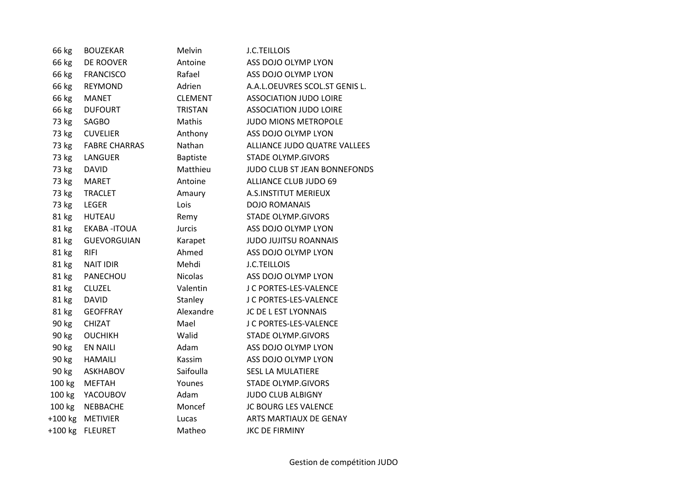| 66 kg     | <b>BOUZEKAR</b>      | Melvin          | <b>J.C.TEILLOIS</b>            |
|-----------|----------------------|-----------------|--------------------------------|
| 66 kg     | DE ROOVER            | Antoine         | ASS DOJO OLYMP LYON            |
| 66 kg     | <b>FRANCISCO</b>     | Rafael          | ASS DOJO OLYMP LYON            |
| 66 kg     | <b>REYMOND</b>       | Adrien          | A.A.L.OEUVRES SCOL.ST GENIS L. |
| 66 kg     | <b>MANET</b>         | <b>CLEMENT</b>  | <b>ASSOCIATION JUDO LOIRE</b>  |
| 66 kg     | <b>DUFOURT</b>       | <b>TRISTAN</b>  | <b>ASSOCIATION JUDO LOIRE</b>  |
| 73 kg     | SAGBO                | Mathis          | <b>JUDO MIONS METROPOLE</b>    |
| 73 kg     | <b>CUVELIER</b>      | Anthony         | ASS DOJO OLYMP LYON            |
| 73 kg     | <b>FABRE CHARRAS</b> | Nathan          | ALLIANCE JUDO QUATRE VALLEES   |
| 73 kg     | LANGUER              | <b>Baptiste</b> | <b>STADE OLYMP.GIVORS</b>      |
| 73 kg     | <b>DAVID</b>         | Matthieu        | JUDO CLUB ST JEAN BONNEFONDS   |
| 73 kg     | <b>MARET</b>         | Antoine         | ALLIANCE CLUB JUDO 69          |
| 73 kg     | <b>TRACLET</b>       | Amaury          | <b>A.S.INSTITUT MERIEUX</b>    |
| 73 kg     | <b>LEGER</b>         | Lois            | <b>DOJO ROMANAIS</b>           |
| 81 kg     | <b>HUTEAU</b>        | Remy            | <b>STADE OLYMP.GIVORS</b>      |
| 81 kg     | <b>EKABA-ITOUA</b>   | Jurcis          | ASS DOJO OLYMP LYON            |
| 81 kg     | <b>GUEVORGUIAN</b>   | Karapet         | <b>JUDO JUJITSU ROANNAIS</b>   |
| 81 kg     | <b>RIFI</b>          | Ahmed           | ASS DOJO OLYMP LYON            |
| 81 kg     | <b>NAIT IDIR</b>     | Mehdi           | <b>J.C.TEILLOIS</b>            |
| 81 kg     | PANECHOU             | <b>Nicolas</b>  | ASS DOJO OLYMP LYON            |
| 81 kg     | <b>CLUZEL</b>        | Valentin        | J C PORTES-LES-VALENCE         |
| 81 kg     | <b>DAVID</b>         | Stanley         | J C PORTES-LES-VALENCE         |
| 81 kg     | <b>GEOFFRAY</b>      | Alexandre       | JC DE L EST LYONNAIS           |
| 90 kg     | <b>CHIZAT</b>        | Mael            | J C PORTES-LES-VALENCE         |
| 90 kg     | <b>OUCHIKH</b>       | Walid           | <b>STADE OLYMP.GIVORS</b>      |
| 90 kg     | <b>EN NAILI</b>      | Adam            | ASS DOJO OLYMP LYON            |
| 90 kg     | <b>HAMAILI</b>       | Kassim          | ASS DOJO OLYMP LYON            |
| 90 kg     | <b>ASKHABOV</b>      | Saifoulla       | <b>SESL LA MULATIERE</b>       |
| 100 kg    | <b>MEFTAH</b>        | Younes          | <b>STADE OLYMP.GIVORS</b>      |
| 100 kg    | YACOUBOV             | Adam            | <b>JUDO CLUB ALBIGNY</b>       |
| 100 kg    | <b>NEBBACHE</b>      | Moncef          | JC BOURG LES VALENCE           |
| $+100$ kg | <b>METIVIER</b>      | Lucas           | ARTS MARTIAUX DE GENAY         |
| $+100$ kg | <b>FLEURET</b>       | Matheo          | <b>JKC DE FIRMINY</b>          |
|           |                      |                 |                                |